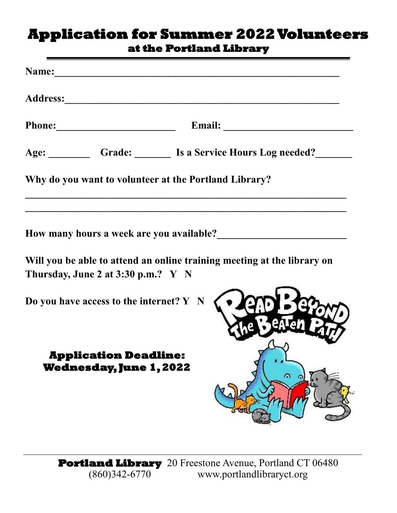## **Application for Summer 2022 Volunteers at the Portland Library**

| Age:                                                  |  |
|-------------------------------------------------------|--|
| Grade: Is a Service Hours Log needed?                 |  |
| Why do you want to volunteer at the Portland Library? |  |

How many hours a week are you available?

**Will you be able to attend an online training meeting at the library on Thursday, June 2 at 3:30 p.m.? Y N**

**Do you have access to the internet? Y N**

## **Application Deadline: Wednesday, June 1, 2022**